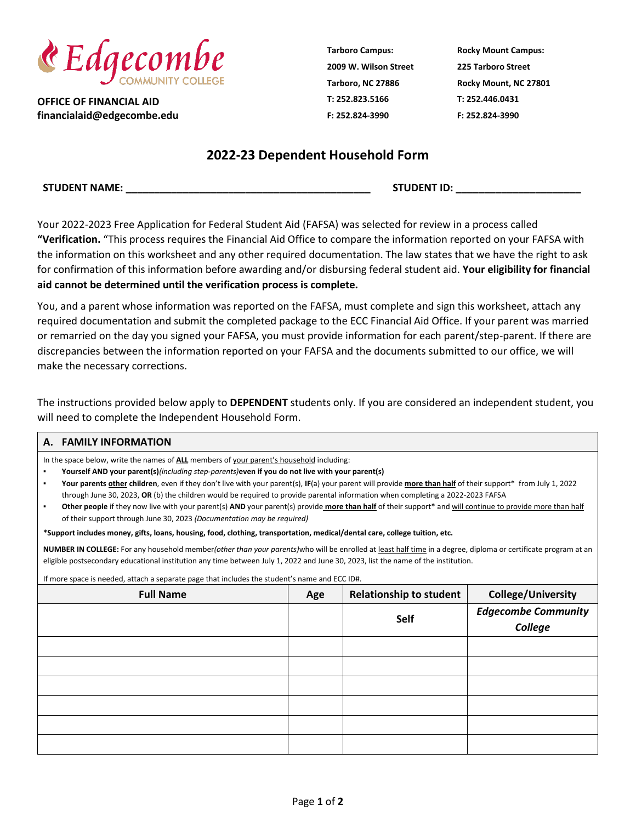

**OFFICE OF FINANCIAL AID financialaid@edgecombe.edu** **Tarboro Campus: 2009 W. Wilson Street Tarboro, NC 27886 T: 252.823.5166 F: 252.824-3990**

**Rocky Mount Campus: 225 Tarboro Street Rocky Mount, NC 27801 T: 252.446.0431 F: 252.824-3990**

## **2022-23 Dependent Household Form**

 $STUDENT ID:$ 

Your 2022-2023 Free Application for Federal Student Aid (FAFSA) was selected for review in a process called **"Verification.** "This process requires the Financial Aid Office to compare the information reported on your FAFSA with the information on this worksheet and any other required documentation. The law states that we have the right to ask for confirmation of this information before awarding and/or disbursing federal student aid. **Your eligibility for financial aid cannot be determined until the verification process is complete.**

You, and a parent whose information was reported on the FAFSA, must complete and sign this worksheet, attach any required documentation and submit the completed package to the ECC Financial Aid Office. If your parent was married or remarried on the day you signed your FAFSA, you must provide information for each parent/step-parent. If there are discrepancies between the information reported on your FAFSA and the documents submitted to our office, we will make the necessary corrections.

The instructions provided below apply to **DEPENDENT** students only. If you are considered an independent student, you will need to complete the Independent Household Form.

## **A. FAMILY INFORMATION**

In the space below, write the names of **ALL** members of your parent's household including:

▪ **Yourself AND your parent(s)***(including step-parents)***even if you do not live with your parent(s)**

▪ **Your parents other children**, even if they don't live with your parent(s), **IF**(a) your parent will provide **more than half** of their support\* from July 1, 2022 through June 30, 2023, **OR** (b) the children would be required to provide parental information when completing a 2022-2023 FAFSA

Other people if they now live with your parent(s) AND your parent(s) provide more than half of their support\* and will continue to provide more than half of their support through June 30, 2023 *(Documentation may be required)*

**\*Support includes money, gifts, loans, housing, food, clothing, transportation, medical/dental care, college tuition, etc.**

**NUMBER IN COLLEGE:** For any household member*(other than your parents)*who will be enrolled at least half time in a degree, diploma or certificate program at an eligible postsecondary educational institution any time between July 1, 2022 and June 30, 2023, list the name of the institution.

If more space is needed, attach a separate page that includes the student's name and ECC ID#.

| <b>Full Name</b> | Age | <b>Relationship to student</b> | <b>College/University</b>             |
|------------------|-----|--------------------------------|---------------------------------------|
|                  |     | Self                           | <b>Edgecombe Community</b><br>College |
|                  |     |                                |                                       |
|                  |     |                                |                                       |
|                  |     |                                |                                       |
|                  |     |                                |                                       |
|                  |     |                                |                                       |
|                  |     |                                |                                       |